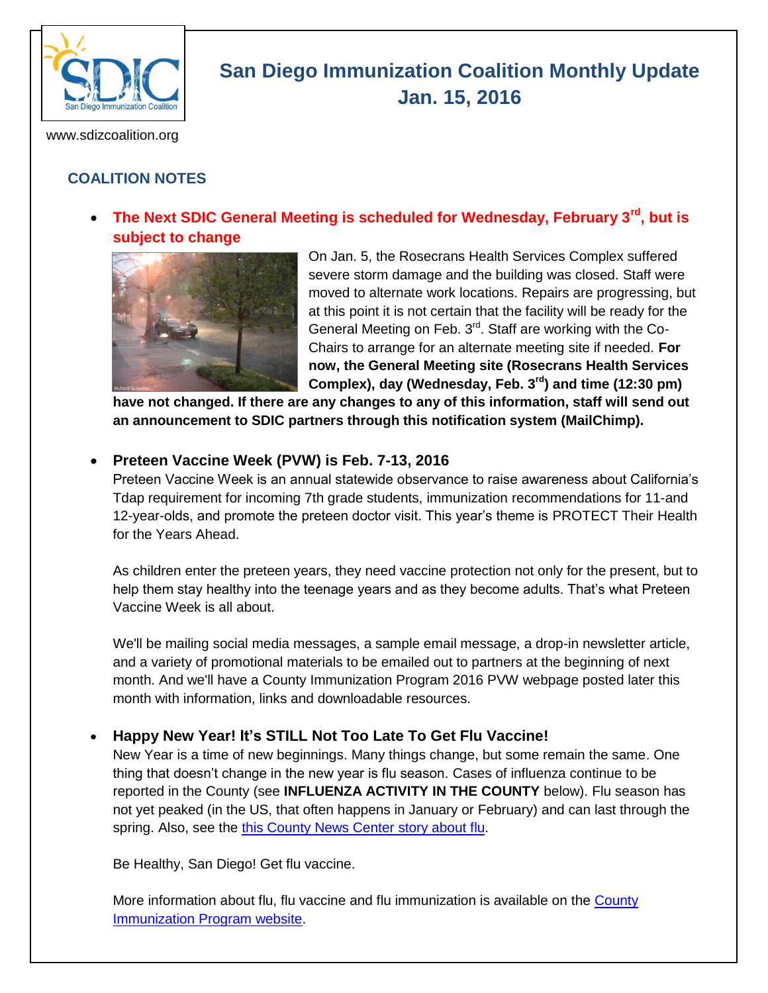

# **San Diego Immunization Coalition Monthly Update Jan. 15, 2016**

www.sdizcoalition.org

# **COALITION NOTES**

 **The Next SDIC General Meeting is scheduled for Wednesday, February 3rd, but is subject to change** 



On Jan. 5, the Rosecrans Health Services Complex suffered severe storm damage and the building was closed. Staff were moved to alternate work locations. Repairs are progressing, but at this point it is not certain that the facility will be ready for the General Meeting on Feb.  $3<sup>rd</sup>$ . Staff are working with the Co-Chairs to arrange for an alternate meeting site if needed. **For now, the General Meeting site (Rosecrans Health Services Complex), day (Wednesday, Feb. 3rd) and time (12:30 pm)** 

**have not changed. If there are any changes to any of this information, staff will send out an announcement to SDIC partners through this notification system (MailChimp).**

#### **Preteen Vaccine Week (PVW) is Feb. 7-13, 2016**

Preteen Vaccine Week is an annual statewide observance to raise awareness about California's Tdap requirement for incoming 7th grade students, immunization recommendations for 11-and 12-year-olds, and promote the preteen doctor visit. This year's theme is PROTECT Their Health for the Years Ahead.

As children enter the preteen years, they need vaccine protection not only for the present, but to help them stay healthy into the teenage years and as they become adults. That's what Preteen Vaccine Week is all about.

We'll be mailing social media messages, a sample email message, a drop-in newsletter article, and a variety of promotional materials to be emailed out to partners at the beginning of next month. And we'll have a County Immunization Program 2016 PVW webpage posted later this month with information, links and downloadable resources.

#### **Happy New Year! It's STILL Not Too Late To Get Flu Vaccine!**

New Year is a time of new beginnings. Many things change, but some remain the same. One thing that doesn't change in the new year is flu season. Cases of influenza continue to be reported in the County (see **INFLUENZA ACTIVITY IN THE COUNTY** below). Flu season has not yet peaked (in the US, that often happens in January or February) and can last through the spring. Also, see the [this County News Center story about flu.](http://www.countynewscenter.com/news/flu-cases-continue-rise-total-far-below-last-years)

Be Healthy, San Diego! Get flu vaccine.

More information about flu, flu vaccine and flu immunization is available on the [County](http://www.sdiz.org/Community/Features/Flu-2015-2016.html)  [Immunization Program website.](http://www.sdiz.org/Community/Features/Flu-2015-2016.html)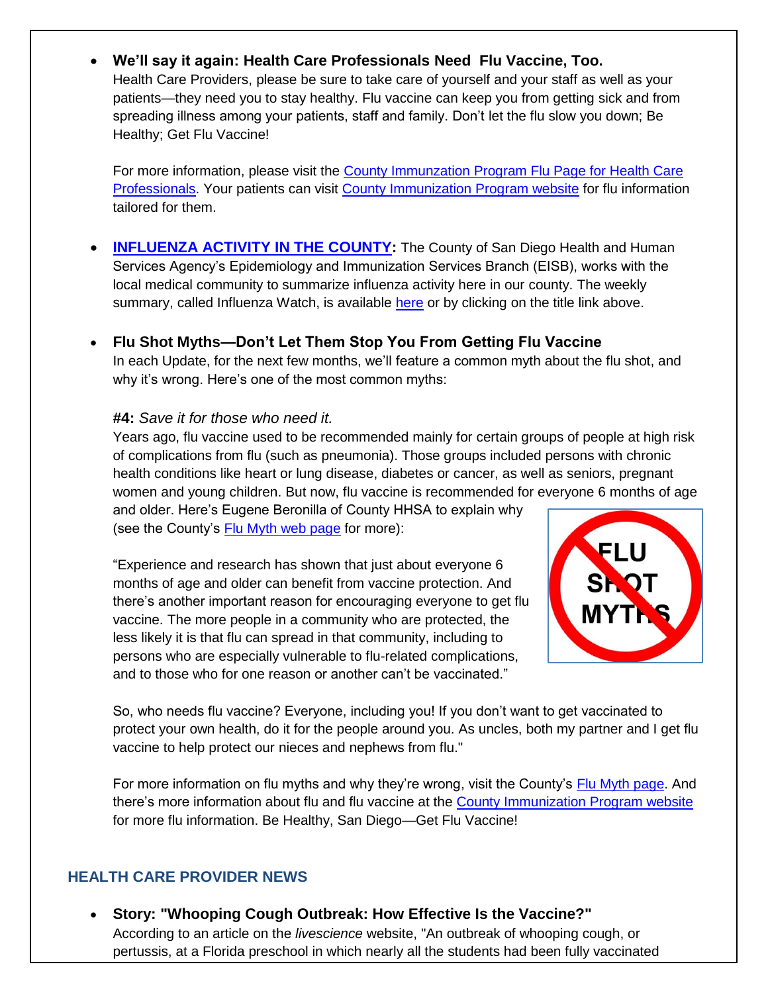# **We'll say it again: Health Care Professionals Need Flu Vaccine, Too.**

Health Care Providers, please be sure to take care of yourself and your staff as well as your patients—they need you to stay healthy. Flu vaccine can keep you from getting sick and from spreading illness among your patients, staff and family. Don't let the flu slow you down; Be Healthy; Get Flu Vaccine!

For more information, please visit the [County Immunzation Program Flu Page for Health Care](http://www.sdiz.org/HealthcarePros/Flu--provider-2015-16.html)  [Professionals.](http://www.sdiz.org/HealthcarePros/Flu--provider-2015-16.html) Your patients can visit [County Immunization Program website](http://www.sdiz.org/Community/Features/Flu-2015-2016.html) for flu information tailored for them.

- **[INFLUENZA ACTIVITY IN THE COUNTY:](http://www.sandiegocounty.gov/content/dam/sdc/hhsa/programs/phs/documents/InfluenzaWatch.pdf)** The County of San Diego Health and Human Services Agency's Epidemiology and Immunization Services Branch (EISB), works with the local medical community to summarize influenza activity here in our county. The weekly summary, called Influenza Watch, is available [here](http://www.sandiegocounty.gov/content/dam/sdc/hhsa/programs/phs/documents/InfluenzaWatch.pdf) or by clicking on the title link above.
- **Flu Shot Myths—Don't Let Them Stop You From Getting Flu Vaccine** In each Update, for the next few months, we'll feature a common myth about the flu shot, and why it's wrong. Here's one of the most common myths:

#### **#4:** *Save it for those who need it.*

Years ago, flu vaccine used to be recommended mainly for certain groups of people at high risk of complications from flu (such as pneumonia). Those groups included persons with chronic health conditions like heart or lung disease, diabetes or cancer, as well as seniors, pregnant women and young children. But now, flu vaccine is recommended for everyone 6 months of age and older. Here's Eugene Beronilla of County HHSA to explain why

(see the County's [Flu Myth web page](https://insight.livestories.com/s/debunking-common-flu-vaccine-myths/561fdc42a750b378cac5af6a/) for more):

"Experience and research has shown that just about everyone 6 months of age and older can benefit from vaccine protection. And there's another important reason for encouraging everyone to get flu vaccine. The more people in a community who are protected, the less likely it is that flu can spread in that community, including to persons who are especially vulnerable to flu-related complications, and to those who for one reason or another can't be vaccinated."



So, who needs flu vaccine? Everyone, including you! If you don't want to get vaccinated to protect your own health, do it for the people around you. As uncles, both my partner and I get flu vaccine to help protect our nieces and nephews from flu."

For more information on flu myths and why they're wrong, visit the County's [Flu Myth page.](https://insight.livestories.com/s/debunking-common-flu-vaccine-myths/561fdc42a750b378cac5af6a/) And there's more information about flu and flu vaccine at the [County Immunization Program website](http://www.sdiz.org/Community/Features/Flu-2015-2016-clinics.html) for more flu information. Be Healthy, San Diego—Get Flu Vaccine!

# **HEALTH CARE PROVIDER NEWS**

 **Story: "Whooping Cough Outbreak: How Effective Is the Vaccine?"** According to an article on the *livescience* website, "An outbreak of whooping cough, or pertussis, at a Florida preschool in which nearly all the students had been fully vaccinated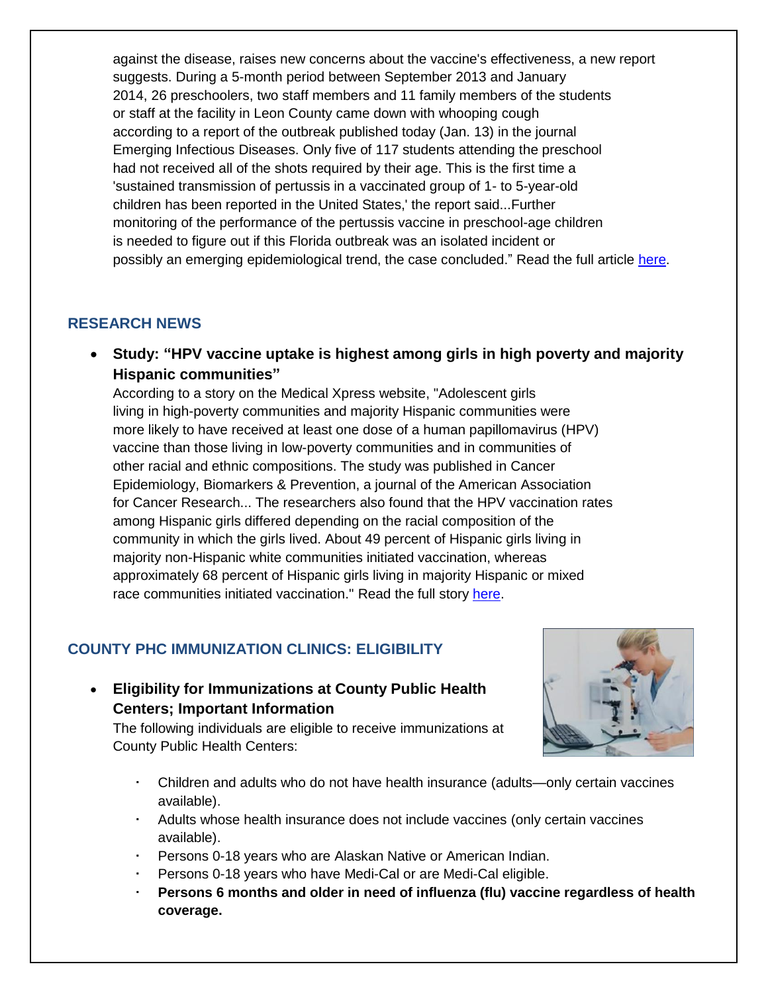against the disease, raises new concerns about the vaccine's effectiveness, a new report suggests. During a 5-month period between September 2013 and January 2014, 26 preschoolers, two staff members and 11 family members of the students or staff at the facility in Leon County came down with whooping cough according to a report of the outbreak published today (Jan. 13) in the journal Emerging Infectious Diseases. Only five of 117 students attending the preschool had not received all of the shots required by their age. This is the first time a 'sustained transmission of pertussis in a vaccinated group of 1- to 5-year-old children has been reported in the United States,' the report said...Further monitoring of the performance of the pertussis vaccine in preschool-age children is needed to figure out if this Florida outbreak was an isolated incident or possibly an emerging epidemiological trend, the case concluded." Read the full article [here.](http://www.livescience.com/53359-whooping-cough-outbreak-raises-questions-vaccine-effectiveness.html)

#### **RESEARCH NEWS**

 **Study: "HPV vaccine uptake is highest among girls in high poverty and majority Hispanic communities"**

According to a story on the Medical Xpress website, "Adolescent girls living in high-poverty communities and majority Hispanic communities were more likely to have received at least one dose of a human papillomavirus (HPV) vaccine than those living in low-poverty communities and in communities of other racial and ethnic compositions. The study was published in Cancer Epidemiology, Biomarkers & Prevention, a journal of the American Association for Cancer Research... The researchers also found that the HPV vaccination rates among Hispanic girls differed depending on the racial composition of the community in which the girls lived. About 49 percent of Hispanic girls living in majority non-Hispanic white communities initiated vaccination, whereas approximately 68 percent of Hispanic girls living in majority Hispanic or mixed race communities initiated vaccination." Read the full story [here.](http://medicalxpress.com/news/2016-01-hpv-vaccine-uptake-highest-girls.html)

# **COUNTY PHC IMMUNIZATION CLINICS: ELIGIBILITY**

 **Eligibility for Immunizations at County Public Health Centers; Important Information** 

The following individuals are eligible to receive immunizations at County Public Health Centers:



- Children and adults who do not have health insurance (adults—only certain vaccines available).
- Adults whose health insurance does not include vaccines (only certain vaccines available).
- Persons 0-18 years who are Alaskan Native or American Indian.
- Persons 0-18 years who have Medi-Cal or are Medi-Cal eligible.
- **Persons 6 months and older in need of influenza (flu) vaccine regardless of health coverage.**